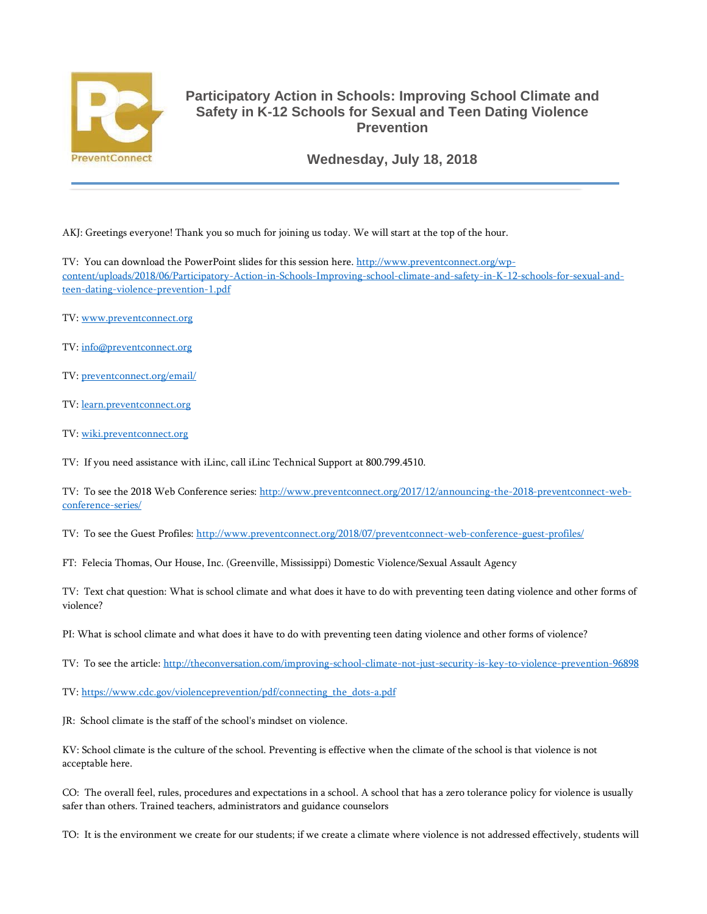

## **Participatory Action in Schools: Improving School Climate and Safety in K-12 Schools for Sexual and Teen Dating Violence Prevention**

**Wednesday, July 18, 2018**

AKJ: Greetings everyone! Thank you so much for joining us today. We will start at the top of the hour.

TV: You can download the PowerPoint slides for this session here. [http://www.preventconnect.org/wp](http://www.preventconnect.org/wp-content/uploads/2018/06/Participatory-Action-in-Schools-Improving-school-climate-and-safety-in-K-12-schools-for-sexual-and-teen-dating-violence-prevention-1.pdf)[content/uploads/2018/06/Participatory-Action-in-Schools-Improving-school-climate-and-safety-in-K-12-schools-for-sexual-and](http://www.preventconnect.org/wp-content/uploads/2018/06/Participatory-Action-in-Schools-Improving-school-climate-and-safety-in-K-12-schools-for-sexual-and-teen-dating-violence-prevention-1.pdf)[teen-dating-violence-prevention-1.pdf](http://www.preventconnect.org/wp-content/uploads/2018/06/Participatory-Action-in-Schools-Improving-school-climate-and-safety-in-K-12-schools-for-sexual-and-teen-dating-violence-prevention-1.pdf)

- TV: [www.preventconnect.org](http://www.preventconnect.org/)
- TV: [info@preventconnect.org](mailto:info@preventconnect.org)
- TV: [preventconnect.org/email/](http://www.preventconnect.org/email/)
- TV: [learn.preventconnect.org](http://www.learn.preventconnect.org/)
- TV: [wiki.preventconnect.org](http://www.wiki.preventconnect.org/)

TV: If you need assistance with iLinc, call iLinc Technical Support at 800.799.4510.

TV: To see the 2018 Web Conference series: [http://www.preventconnect.org/2017/12/announcing-the-2018-preventconnect-web](http://www.preventconnect.org/2017/12/announcing-the-2018-preventconnect-web-conference-series/)[conference-series/](http://www.preventconnect.org/2017/12/announcing-the-2018-preventconnect-web-conference-series/)

TV: To see the Guest Profiles: <http://www.preventconnect.org/2018/07/preventconnect-web-conference-guest-profiles/>

FT: Felecia Thomas, Our House, Inc. (Greenville, Mississippi) Domestic Violence/Sexual Assault Agency

TV: Text chat question: What is school climate and what does it have to do with preventing teen dating violence and other forms of violence?

PI: What is school climate and what does it have to do with preventing teen dating violence and other forms of violence?

TV: To see the article: <http://theconversation.com/improving-school-climate-not-just-security-is-key-to-violence-prevention-96898>

TV: [https://www.cdc.gov/violenceprevention/pdf/connecting\\_the\\_dots-a.pdf](https://www.cdc.gov/violenceprevention/pdf/connecting_the_dots-a.pdf)

JR: School climate is the staff of the school's mindset on violence.

KV: School climate is the culture of the school. Preventing is effective when the climate of the school is that violence is not acceptable here.

CO: The overall feel, rules, procedures and expectations in a school. A school that has a zero tolerance policy for violence is usually safer than others. Trained teachers, administrators and guidance counselors

TO: It is the environment we create for our students; if we create a climate where violence is not addressed effectively, students will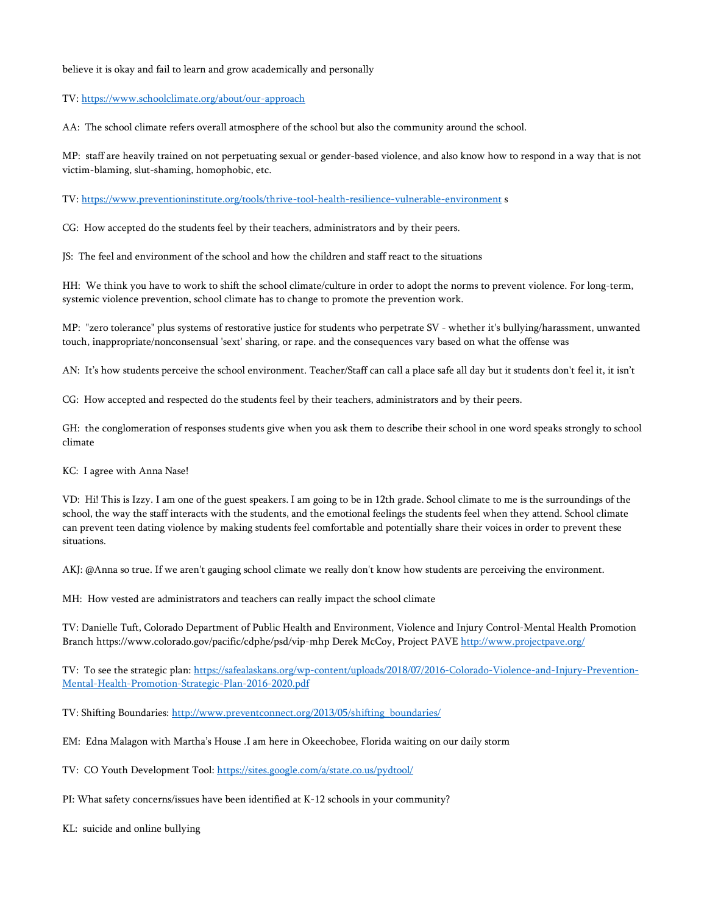## believe it is okay and fail to learn and grow academically and personally

## TV: <https://www.schoolclimate.org/about/our-approach>

AA: The school climate refers overall atmosphere of the school but also the community around the school.

MP: staff are heavily trained on not perpetuating sexual or gender-based violence, and also know how to respond in a way that is not victim-blaming, slut-shaming, homophobic, etc.

TV: <https://www.preventioninstitute.org/tools/thrive-tool-health-resilience-vulnerable-environment> s

CG: How accepted do the students feel by their teachers, administrators and by their peers.

JS: The feel and environment of the school and how the children and staff react to the situations

HH: We think you have to work to shift the school climate/culture in order to adopt the norms to prevent violence. For long-term, systemic violence prevention, school climate has to change to promote the prevention work.

MP: "zero tolerance" plus systems of restorative justice for students who perpetrate SV - whether it's bullying/harassment, unwanted touch, inappropriate/nonconsensual 'sext' sharing, or rape. and the consequences vary based on what the offense was

AN: It's how students perceive the school environment. Teacher/Staff can call a place safe all day but it students don't feel it, it isn't

CG: How accepted and respected do the students feel by their teachers, administrators and by their peers.

GH: the conglomeration of responses students give when you ask them to describe their school in one word speaks strongly to school climate

KC: I agree with Anna Nase!

VD: Hi! This is Izzy. I am one of the guest speakers. I am going to be in 12th grade. School climate to me is the surroundings of the school, the way the staff interacts with the students, and the emotional feelings the students feel when they attend. School climate can prevent teen dating violence by making students feel comfortable and potentially share their voices in order to prevent these situations.

AKJ: @Anna so true. If we aren't gauging school climate we really don't know how students are perceiving the environment.

MH: How vested are administrators and teachers can really impact the school climate

TV: Danielle Tuft, Colorado Department of Public Health and Environment, Violence and Injury Control-Mental Health Promotion Branch https://www.colorado.gov/pacific/cdphe/psd/vip-mhp Derek McCoy, Project PAVE <http://www.projectpave.org/>

TV: To see the strategic plan: [https://safealaskans.org/wp-content/uploads/2018/07/2016-Colorado-Violence-and-Injury-Prevention-](https://safealaskans.org/wp-content/uploads/2018/07/2016-Colorado-Violence-and-Injury-Prevention-Mental-Health-Promotion-Strategic-Plan-2016-2020.pdf)[Mental-Health-Promotion-Strategic-Plan-2016-2020.pdf](https://safealaskans.org/wp-content/uploads/2018/07/2016-Colorado-Violence-and-Injury-Prevention-Mental-Health-Promotion-Strategic-Plan-2016-2020.pdf)

TV: Shifting Boundaries: [http://www.preventconnect.org/2013/05/shifting\\_boundaries/](http://www.preventconnect.org/2013/05/shifting_boundaries/)

EM: Edna Malagon with Martha's House .I am here in Okeechobee, Florida waiting on our daily storm

TV: CO Youth Development Tool: <https://sites.google.com/a/state.co.us/pydtool/>

PI: What safety concerns/issues have been identified at K-12 schools in your community?

KL: suicide and online bullying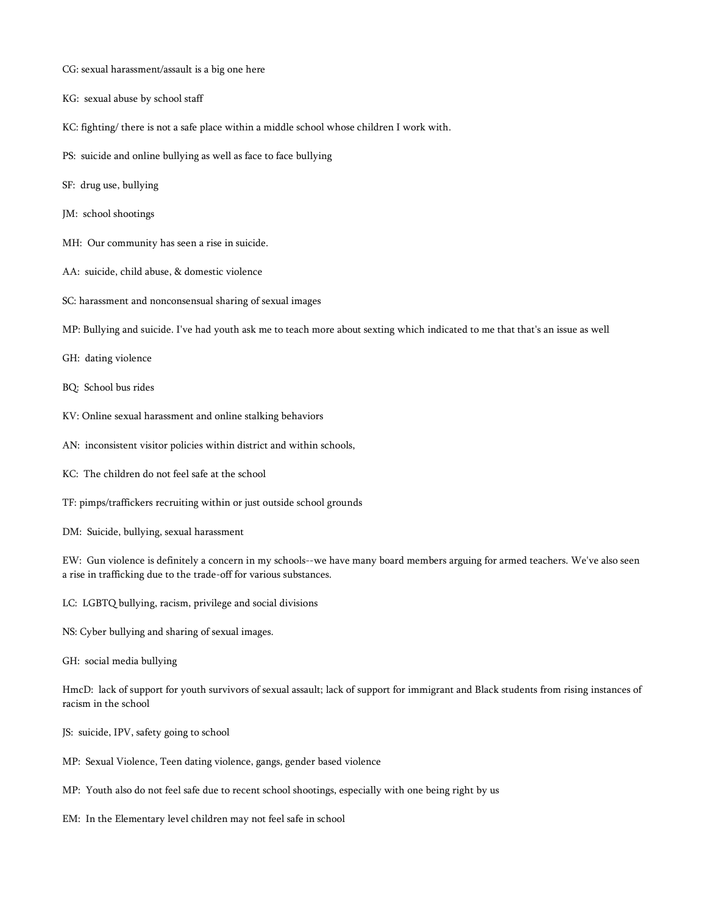- CG: sexual harassment/assault is a big one here
- KG: sexual abuse by school staff
- KC: fighting/ there is not a safe place within a middle school whose children I work with.
- PS: suicide and online bullying as well as face to face bullying
- SF: drug use, bullying
- JM: school shootings
- MH: Our community has seen a rise in suicide.
- AA: suicide, child abuse, & domestic violence
- SC: harassment and nonconsensual sharing of sexual images
- MP: Bullying and suicide. I've had youth ask me to teach more about sexting which indicated to me that that's an issue as well
- GH: dating violence
- BQ: School bus rides
- KV: Online sexual harassment and online stalking behaviors
- AN: inconsistent visitor policies within district and within schools,
- KC: The children do not feel safe at the school
- TF: pimps/traffickers recruiting within or just outside school grounds
- DM: Suicide, bullying, sexual harassment

EW: Gun violence is definitely a concern in my schools--we have many board members arguing for armed teachers. We've also seen a rise in trafficking due to the trade-off for various substances.

- LC: LGBTQ bullying, racism, privilege and social divisions
- NS: Cyber bullying and sharing of sexual images.
- GH: social media bullying

HmcD: lack of support for youth survivors of sexual assault; lack of support for immigrant and Black students from rising instances of racism in the school

- JS: suicide, IPV, safety going to school
- MP: Sexual Violence, Teen dating violence, gangs, gender based violence
- MP: Youth also do not feel safe due to recent school shootings, especially with one being right by us
- EM: In the Elementary level children may not feel safe in school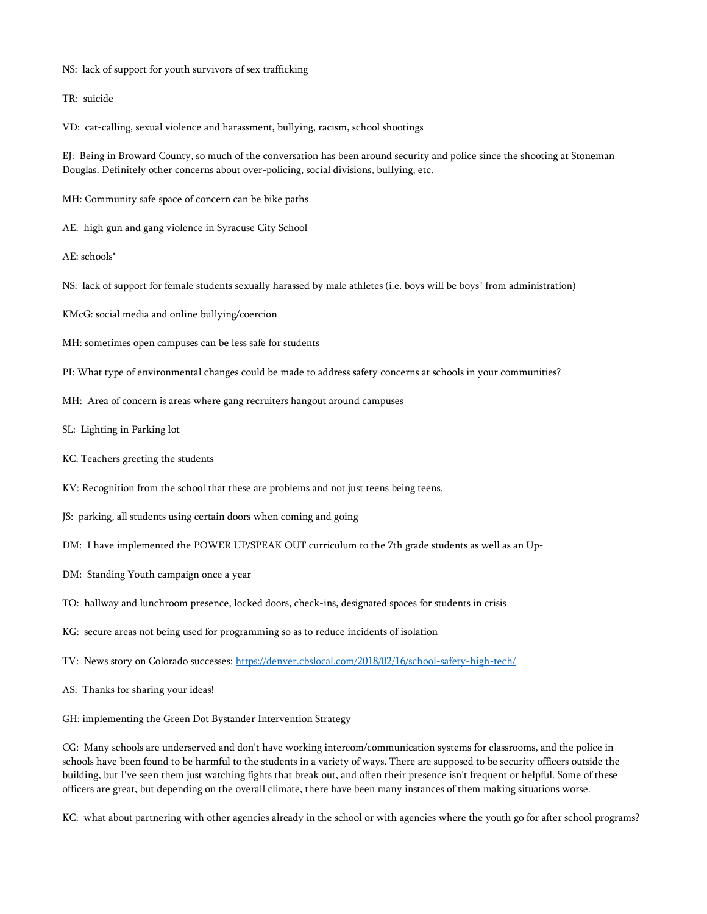- NS: lack of support for youth survivors of sex trafficking
- TR: suicide

VD: cat-calling, sexual violence and harassment, bullying, racism, school shootings

EJ: Being in Broward County, so much of the conversation has been around security and police since the shooting at Stoneman Douglas. Definitely other concerns about over-policing, social divisions, bullying, etc.

MH: Community safe space of concern can be bike paths

- AE: high gun and gang violence in Syracuse City School
- AE: schools\*
- NS: lack of support for female students sexually harassed by male athletes (i.e. boys will be boys" from administration)
- KMcG: social media and online bullying/coercion
- MH: sometimes open campuses can be less safe for students
- PI: What type of environmental changes could be made to address safety concerns at schools in your communities?
- MH: Area of concern is areas where gang recruiters hangout around campuses
- SL: Lighting in Parking lot
- KC: Teachers greeting the students
- KV: Recognition from the school that these are problems and not just teens being teens.
- JS: parking, all students using certain doors when coming and going
- DM: I have implemented the POWER UP/SPEAK OUT curriculum to the 7th grade students as well as an Up-
- DM: Standing Youth campaign once a year
- TO: hallway and lunchroom presence, locked doors, check-ins, designated spaces for students in crisis
- KG: secure areas not being used for programming so as to reduce incidents of isolation
- TV: News story on Colorado successes: <https://denver.cbslocal.com/2018/02/16/school-safety-high-tech/>
- AS: Thanks for sharing your ideas!
- GH: implementing the Green Dot Bystander Intervention Strategy

CG: Many schools are underserved and don't have working intercom/communication systems for classrooms, and the police in schools have been found to be harmful to the students in a variety of ways. There are supposed to be security officers outside the building, but I've seen them just watching fights that break out, and often their presence isn't frequent or helpful. Some of these officers are great, but depending on the overall climate, there have been many instances of them making situations worse.

KC: what about partnering with other agencies already in the school or with agencies where the youth go for after school programs?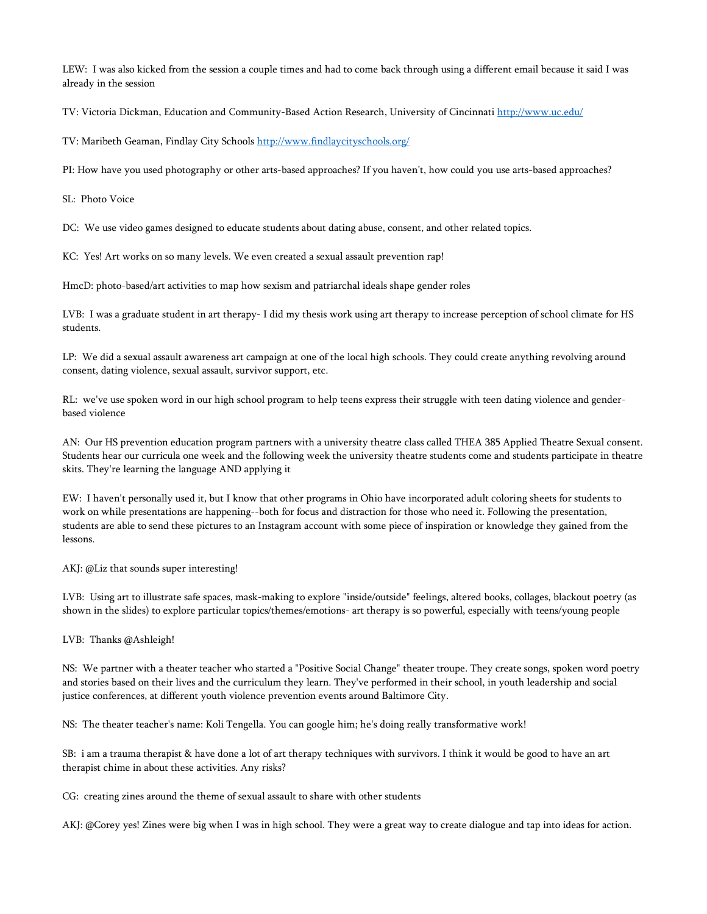LEW: I was also kicked from the session a couple times and had to come back through using a different email because it said I was already in the session

TV: Victoria Dickman, Education and Community-Based Action Research, University of Cincinnati <http://www.uc.edu/>

TV: Maribeth Geaman, Findlay City Schools <http://www.findlaycityschools.org/>

PI: How have you used photography or other arts-based approaches? If you haven't, how could you use arts-based approaches?

SL: Photo Voice

DC: We use video games designed to educate students about dating abuse, consent, and other related topics.

KC: Yes! Art works on so many levels. We even created a sexual assault prevention rap!

HmcD: photo-based/art activities to map how sexism and patriarchal ideals shape gender roles

LVB: I was a graduate student in art therapy- I did my thesis work using art therapy to increase perception of school climate for HS students.

LP: We did a sexual assault awareness art campaign at one of the local high schools. They could create anything revolving around consent, dating violence, sexual assault, survivor support, etc.

RL: we've use spoken word in our high school program to help teens express their struggle with teen dating violence and genderbased violence

AN: Our HS prevention education program partners with a university theatre class called THEA 385 Applied Theatre Sexual consent. Students hear our curricula one week and the following week the university theatre students come and students participate in theatre skits. They're learning the language AND applying it

EW: I haven't personally used it, but I know that other programs in Ohio have incorporated adult coloring sheets for students to work on while presentations are happening--both for focus and distraction for those who need it. Following the presentation, students are able to send these pictures to an Instagram account with some piece of inspiration or knowledge they gained from the lessons.

AKJ: @Liz that sounds super interesting!

LVB: Using art to illustrate safe spaces, mask-making to explore "inside/outside" feelings, altered books, collages, blackout poetry (as shown in the slides) to explore particular topics/themes/emotions- art therapy is so powerful, especially with teens/young people

LVB: Thanks @Ashleigh!

NS: We partner with a theater teacher who started a "Positive Social Change" theater troupe. They create songs, spoken word poetry and stories based on their lives and the curriculum they learn. They've performed in their school, in youth leadership and social justice conferences, at different youth violence prevention events around Baltimore City.

NS: The theater teacher's name: Koli Tengella. You can google him; he's doing really transformative work!

SB: i am a trauma therapist & have done a lot of art therapy techniques with survivors. I think it would be good to have an art therapist chime in about these activities. Any risks?

CG: creating zines around the theme of sexual assault to share with other students

AKJ: @Corey yes! Zines were big when I was in high school. They were a great way to create dialogue and tap into ideas for action.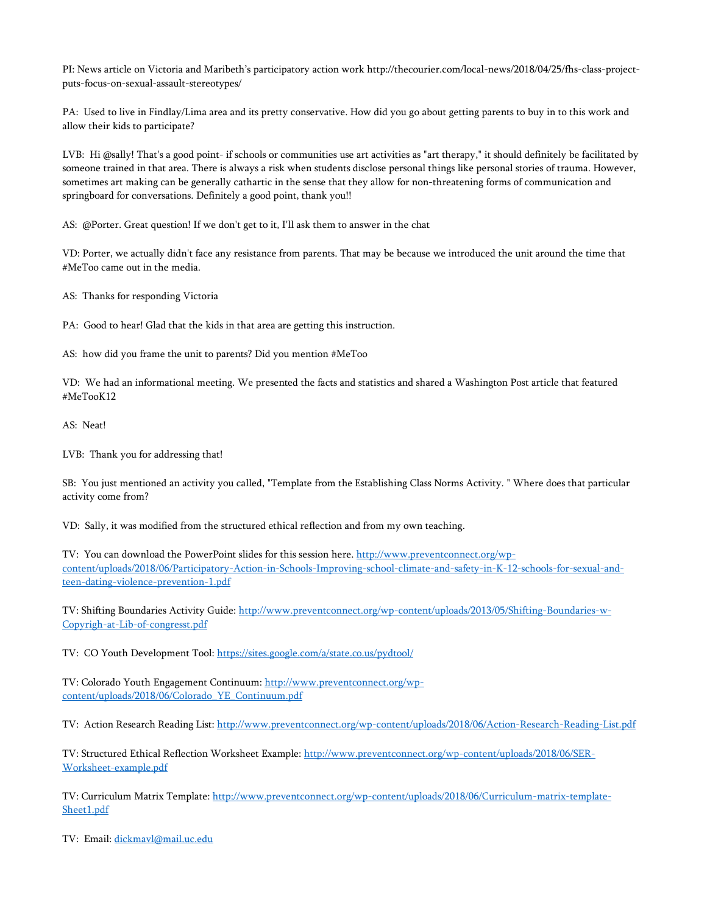PI: News article on Victoria and Maribeth's participatory action work http://thecourier.com/local-news/2018/04/25/fhs-class-projectputs-focus-on-sexual-assault-stereotypes/

PA: Used to live in Findlay/Lima area and its pretty conservative. How did you go about getting parents to buy in to this work and allow their kids to participate?

LVB: Hi @sally! That's a good point- if schools or communities use art activities as "art therapy," it should definitely be facilitated by someone trained in that area. There is always a risk when students disclose personal things like personal stories of trauma. However, sometimes art making can be generally cathartic in the sense that they allow for non-threatening forms of communication and springboard for conversations. Definitely a good point, thank you!!

AS: @Porter. Great question! If we don't get to it, I'll ask them to answer in the chat

VD: Porter, we actually didn't face any resistance from parents. That may be because we introduced the unit around the time that #MeToo came out in the media.

AS: Thanks for responding Victoria

PA: Good to hear! Glad that the kids in that area are getting this instruction.

AS: how did you frame the unit to parents? Did you mention #MeToo

VD: We had an informational meeting. We presented the facts and statistics and shared a Washington Post article that featured #MeTooK12

AS: Neat!

LVB: Thank you for addressing that!

SB: You just mentioned an activity you called, "Template from the Establishing Class Norms Activity. " Where does that particular activity come from?

VD: Sally, it was modified from the structured ethical reflection and from my own teaching.

TV: You can download the PowerPoint slides for this session here. [http://www.preventconnect.org/wp](http://www.preventconnect.org/wp-content/uploads/2018/06/Participatory-Action-in-Schools-Improving-school-climate-and-safety-in-K-12-schools-for-sexual-and-teen-dating-violence-prevention-1.pdf)[content/uploads/2018/06/Participatory-Action-in-Schools-Improving-school-climate-and-safety-in-K-12-schools-for-sexual-and](http://www.preventconnect.org/wp-content/uploads/2018/06/Participatory-Action-in-Schools-Improving-school-climate-and-safety-in-K-12-schools-for-sexual-and-teen-dating-violence-prevention-1.pdf)[teen-dating-violence-prevention-1.pdf](http://www.preventconnect.org/wp-content/uploads/2018/06/Participatory-Action-in-Schools-Improving-school-climate-and-safety-in-K-12-schools-for-sexual-and-teen-dating-violence-prevention-1.pdf) 

TV: Shifting Boundaries Activity Guide: [http://www.preventconnect.org/wp-content/uploads/2013/05/Shifting-Boundaries-w-](http://www.preventconnect.org/wp-content/uploads/2013/05/Shifting-Boundaries-w-Copyrigh-at-Lib-of-congresst.pdf)[Copyrigh-at-Lib-of-congresst.pdf](http://www.preventconnect.org/wp-content/uploads/2013/05/Shifting-Boundaries-w-Copyrigh-at-Lib-of-congresst.pdf)

TV: CO Youth Development Tool: <https://sites.google.com/a/state.co.us/pydtool/>

TV: Colorado Youth Engagement Continuum: [http://www.preventconnect.org/wp](http://www.preventconnect.org/wp-content/uploads/2018/06/Colorado_YE_Continuum.pdf)[content/uploads/2018/06/Colorado\\_YE\\_Continuum.pdf](http://www.preventconnect.org/wp-content/uploads/2018/06/Colorado_YE_Continuum.pdf)

TV: Action Research Reading List: <http://www.preventconnect.org/wp-content/uploads/2018/06/Action-Research-Reading-List.pdf>

TV: Structured Ethical Reflection Worksheet Example: [http://www.preventconnect.org/wp-content/uploads/2018/06/SER-](http://www.preventconnect.org/wp-content/uploads/2018/06/SER-Worksheet-example.pdf)[Worksheet-example.pdf](http://www.preventconnect.org/wp-content/uploads/2018/06/SER-Worksheet-example.pdf)

TV: Curriculum Matrix Template: [http://www.preventconnect.org/wp-content/uploads/2018/06/Curriculum-matrix-template-](http://www.preventconnect.org/wp-content/uploads/2018/06/Curriculum-matrix-template-Sheet1.pdf)[Sheet1.pdf](http://www.preventconnect.org/wp-content/uploads/2018/06/Curriculum-matrix-template-Sheet1.pdf)

TV: Email: [dickmavl@mail.uc.edu](mailto:dickmavl@mail.uc.edu)